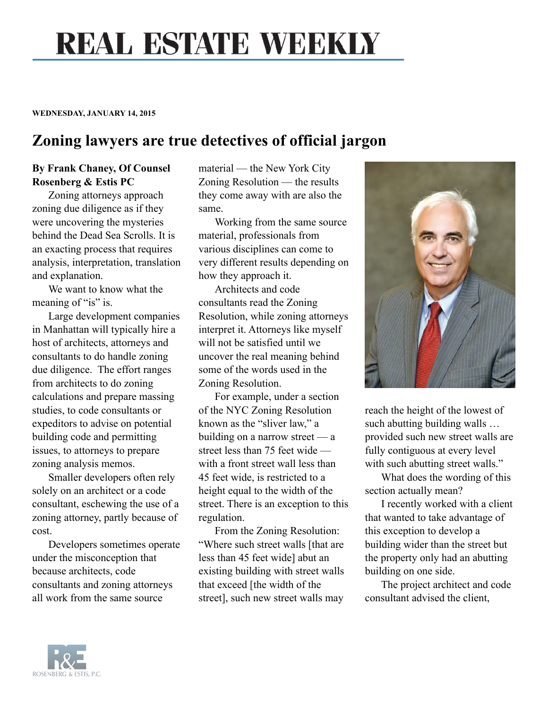## **REAL ESTATE WEEKLY**

## **WEDNESDAY, JANUARY 14, 2015**

## **Zoning lawyers are true detectives of official jargon**

## **By Frank Chaney, Of Counsel Rosenberg & Estis PC**

Zoning attorneys approach zoning due diligence as if they were uncovering the mysteries behind the Dead Sea Scrolls. It is an exacting process that requires analysis, interpretation, translation and explanation.

We want to know what the meaning of "is" is.

Large development companies in Manhattan will typically hire a host of architects, attorneys and consultants to do handle zoning due diligence. The effort ranges from architects to do zoning calculations and prepare massing studies, to code consultants or expeditors to advise on potential building code and permitting issues, to attorneys to prepare zoning analysis memos.

Smaller developers often rely solely on an architect or a code consultant, eschewing the use of a zoning attorney, partly because of cost.

Developers sometimes operate under the misconception that because architects, code consultants and zoning attorneys all work from the same source

material — the New York City Zoning Resolution — the results they come away with are also the same.

Working from the same source material, professionals from various disciplines can come to very different results depending on how they approach it.

Architects and code consultants read the Zoning Resolution, while zoning attorneys interpret it. Attorneys like myself will not be satisfied until we uncover the real meaning behind some of the words used in the Zoning Resolution.

For example, under a section of the NYC Zoning Resolution known as the "sliver law," a building on a narrow street — a street less than 75 feet wide with a front street wall less than 45 feet wide, is restricted to a height equal to the width of the street. There is an exception to this regulation.

From the Zoning Resolution: "Where such street walls [that are less than 45 feet wide] abut an existing building with street walls that exceed [the width of the street], such new street walls may



reach the height of the lowest of such abutting building walls … provided such new street walls are fully contiguous at every level with such abutting street walls."

What does the wording of this section actually mean?

I recently worked with a client that wanted to take advantage of this exception to develop a building wider than the street but the property only had an abutting building on one side.

The project architect and code consultant advised the client,